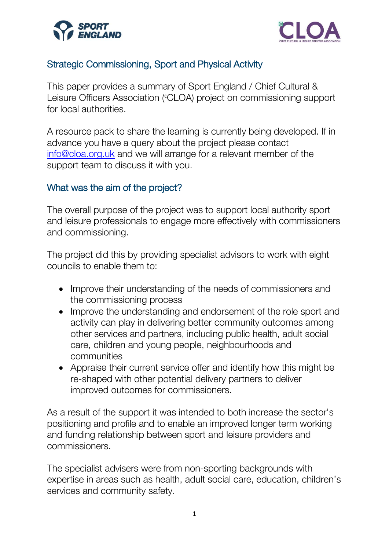



# Strategic Commissioning, Sport and Physical Activity

This paper provides a summary of Sport England / Chief Cultural & Leisure Officers Association (CLOA) project on commissioning support for local authorities.

A resource pack to share the learning is currently being developed. If in advance you have a query about the project please contact [info@cloa.org.uk](mailto:info@cloa.org.uk) and we will arrange for a relevant member of the support team to discuss it with you.

#### What was the aim of the project?

The overall purpose of the project was to support local authority sport and leisure professionals to engage more effectively with commissioners and commissioning.

The project did this by providing specialist advisors to work with eight councils to enable them to:

- Improve their understanding of the needs of commissioners and the commissioning process
- Improve the understanding and endorsement of the role sport and activity can play in delivering better community outcomes among other services and partners, including public health, adult social care, children and young people, neighbourhoods and communities
- Appraise their current service offer and identify how this might be re-shaped with other potential delivery partners to deliver improved outcomes for commissioners.

As a result of the support it was intended to both increase the sector's positioning and profile and to enable an improved longer term working and funding relationship between sport and leisure providers and commissioners.

The specialist advisers were from non-sporting backgrounds with expertise in areas such as health, adult social care, education, children's services and community safety.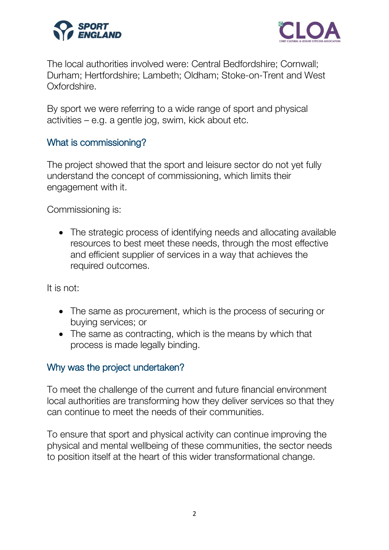



The local authorities involved were: Central Bedfordshire; Cornwall; Durham; Hertfordshire; Lambeth; Oldham; Stoke-on-Trent and West Oxfordshire.

By sport we were referring to a wide range of sport and physical activities – e.g. a gentle jog, swim, kick about etc.

#### What is commissioning?

The project showed that the sport and leisure sector do not yet fully understand the concept of commissioning, which limits their engagement with it.

Commissioning is:

• The strategic process of identifying needs and allocating available resources to best meet these needs, through the most effective and efficient supplier of services in a way that achieves the required outcomes.

It is not:

- The same as procurement, which is the process of securing or buying services; or
- The same as contracting, which is the means by which that process is made legally binding.

#### Why was the project undertaken?

To meet the challenge of the current and future financial environment local authorities are transforming how they deliver services so that they can continue to meet the needs of their communities.

To ensure that sport and physical activity can continue improving the physical and mental wellbeing of these communities, the sector needs to position itself at the heart of this wider transformational change.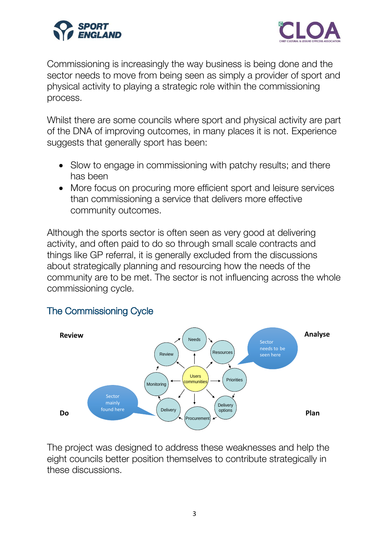



Commissioning is increasingly the way business is being done and the sector needs to move from being seen as simply a provider of sport and physical activity to playing a strategic role within the commissioning process.

Whilst there are some councils where sport and physical activity are part of the DNA of improving outcomes, in many places it is not. Experience suggests that generally sport has been:

- Slow to engage in commissioning with patchy results; and there has been
- More focus on procuring more efficient sport and leisure services than commissioning a service that delivers more effective community outcomes.

Although the sports sector is often seen as very good at delivering activity, and often paid to do so through small scale contracts and things like GP referral, it is generally excluded from the discussions about strategically planning and resourcing how the needs of the community are to be met. The sector is not influencing across the whole commissioning cycle.

#### The Commissioning Cycle



The project was designed to address these weaknesses and help the eight councils better position themselves to contribute strategically in these discussions.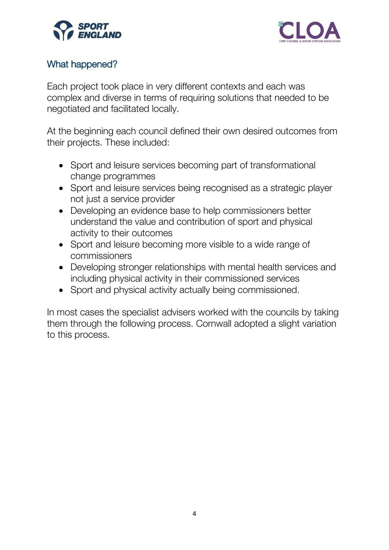



# What happened?

Each project took place in very different contexts and each was complex and diverse in terms of requiring solutions that needed to be negotiated and facilitated locally.

At the beginning each council defined their own desired outcomes from their projects. These included:

- Sport and leisure services becoming part of transformational change programmes
- Sport and leisure services being recognised as a strategic player not just a service provider
- Developing an evidence base to help commissioners better understand the value and contribution of sport and physical activity to their outcomes
- Sport and leisure becoming more visible to a wide range of commissioners
- Developing stronger relationships with mental health services and including physical activity in their commissioned services
- Sport and physical activity actually being commissioned.

In most cases the specialist advisers worked with the councils by taking them through the following process. Cornwall adopted a slight variation to this process.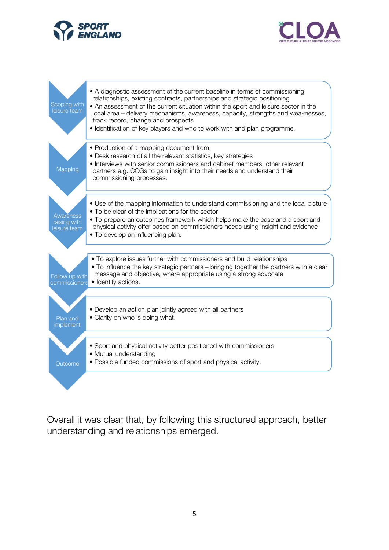





Overall it was clear that, by following this structured approach, better understanding and relationships emerged.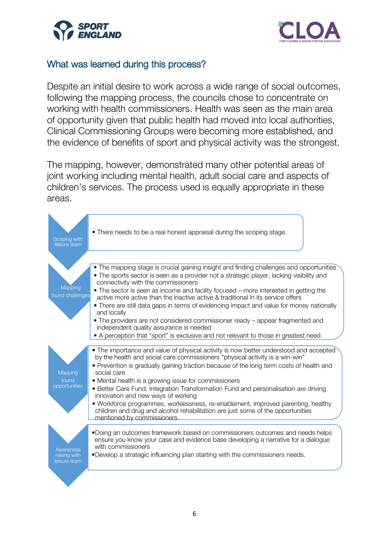



## What was learned during this process?

Despite an initial desire to work across a wide range of social outcomes, following the mapping process, the councils chose to concentrate on working with health commissioners. Health was seen as the main area of opportunity given that public health had moved into local authorities, Clinical Commissioning Groups were becoming more established, and the evidence of benefits of sport and physical activity was the strongest.

The mapping, however, demonstrated many other potential areas of joint working including mental health, adult social care and aspects of children's services. The process used is equally appropriate in these areas.

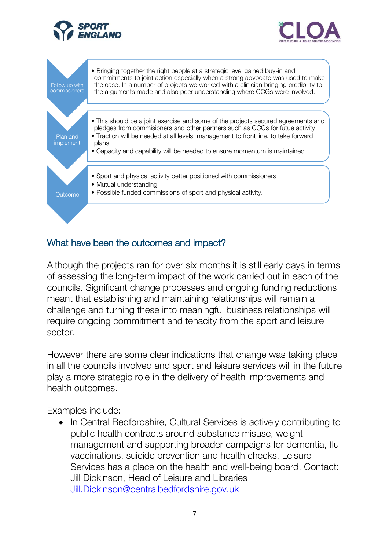





## What have been the outcomes and impact?

Although the projects ran for over six months it is still early days in terms of assessing the long-term impact of the work carried out in each of the councils. Significant change processes and ongoing funding reductions meant that establishing and maintaining relationships will remain a challenge and turning these into meaningful business relationships will require ongoing commitment and tenacity from the sport and leisure sector.

However there are some clear indications that change was taking place in all the councils involved and sport and leisure services will in the future play a more strategic role in the delivery of health improvements and health outcomes.

Examples include:

• In Central Bedfordshire, Cultural Services is actively contributing to public health contracts around substance misuse, weight management and supporting broader campaigns for dementia, flu vaccinations, suicide prevention and health checks. Leisure Services has a place on the health and well-being board. Contact: Jill Dickinson, Head of Leisure and Libraries [Jill.Dickinson@centralbedfordshire.gov.uk](mailto:Jill.Dickinson@centralbedfordshire.gov.uk)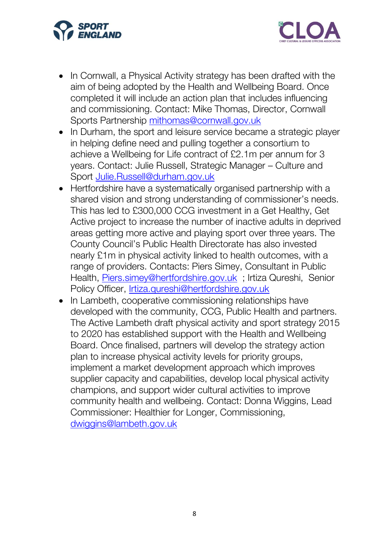



- In Cornwall, a Physical Activity strategy has been drafted with the aim of being adopted by the Health and Wellbeing Board. Once completed it will include an action plan that includes influencing and commissioning. Contact: Mike Thomas, Director, Cornwall Sports Partnership [mithomas@cornwall.gov.uk](mailto:mithomas@cornwall.gov.uk)
- In Durham, the sport and leisure service became a strategic player in helping define need and pulling together a consortium to achieve a Wellbeing for Life contract of £2.1m per annum for 3 years. Contact: Julie Russell, Strategic Manager – Culture and Sport [Julie.Russell@durham.gov.uk](mailto:Julie.Russell@durham.gov.uk)
- Hertfordshire have a systematically organised partnership with a shared vision and strong understanding of commissioner's needs. This has led to £300,000 CCG investment in a Get Healthy, Get Active project to increase the number of inactive adults in deprived areas getting more active and playing sport over three years. The County Council's Public Health Directorate has also invested nearly £1m in physical activity linked to health outcomes, with a range of providers. Contacts: Piers Simey, Consultant in Public Health, [Piers.simey@hertfordshire.gov.uk](mailto:Piers.simey@hertfordshire.gov.uk) ; Irtiza Qureshi, Senior Policy Officer, [Irtiza.qureshi@hertfordshire.gov.uk](mailto:Irtiza.qureshi@hertfordshire.gov.uk)
- In Lambeth, cooperative commissioning relationships have developed with the community, CCG, Public Health and partners. The Active Lambeth draft physical activity and sport strategy 2015 to 2020 has established support with the Health and Wellbeing Board. Once finalised, partners will develop the strategy action plan to increase physical activity levels for priority groups, implement a market development approach which improves supplier capacity and capabilities, develop local physical activity champions, and support wider cultural activities to improve community health and wellbeing. Contact: Donna Wiggins, Lead Commissioner: Healthier for Longer, Commissioning, [dwiggins@lambeth.gov.uk](mailto:dwiggins@lambeth.gov.uk)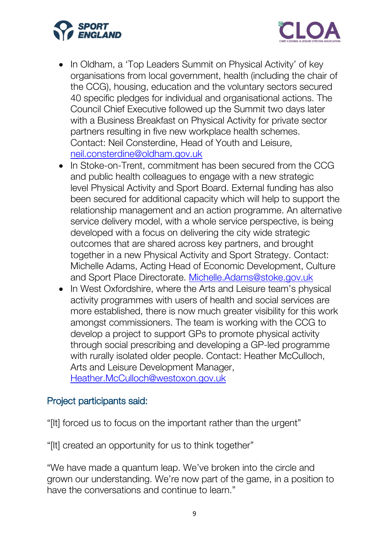



- In Oldham, a 'Top Leaders Summit on Physical Activity' of key organisations from local government, health (including the chair of the CCG), housing, education and the voluntary sectors secured 40 specific pledges for individual and organisational actions. The Council Chief Executive followed up the Summit two days later with a Business Breakfast on Physical Activity for private sector partners resulting in five new workplace health schemes. Contact: Neil Consterdine, Head of Youth and Leisure, [neil.consterdine@oldham.gov.uk](mailto:neil.consterdine@oldham.gov.uk)
- In Stoke-on-Trent, commitment has been secured from the CCG and public health colleagues to engage with a new strategic level Physical Activity and Sport Board. External funding has also been secured for additional capacity which will help to support the relationship management and an action programme. An alternative service delivery model, with a whole service perspective, is being developed with a focus on delivering the city wide strategic outcomes that are shared across key partners, and brought together in a new Physical Activity and Sport Strategy. Contact: Michelle Adams, Acting Head of Economic Development, Culture and Sport Place Directorate. [Michelle.Adams@stoke.gov.uk](mailto:Michelle.Adams@stoke.gov.uk)
- In West Oxfordshire, where the Arts and Leisure team's physical activity programmes with users of health and social services are more established, there is now much greater visibility for this work amongst commissioners. The team is working with the CCG to develop a project to support GPs to promote physical activity through social prescribing and developing a GP-led programme with rurally isolated older people. Contact: Heather McCulloch, Arts and Leisure Development Manager, [Heather.McCulloch@westoxon.gov.uk](mailto:Heather.McCulloch@westoxon.gov.uk)

## Project participants said:

"[It] forced us to focus on the important rather than the urgent"

"[It] created an opportunity for us to think together"

"We have made a quantum leap. We've broken into the circle and grown our understanding. We're now part of the game, in a position to have the conversations and continue to learn."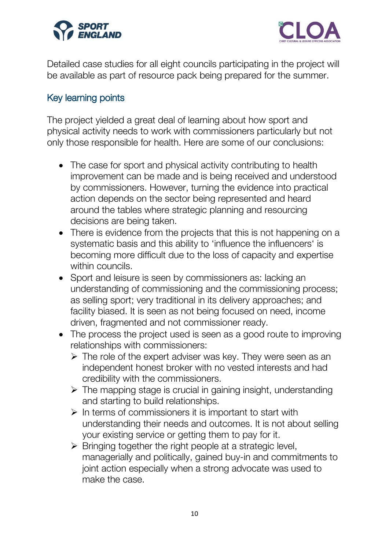



Detailed case studies for all eight councils participating in the project will be available as part of resource pack being prepared for the summer.

## Key learning points

The project yielded a great deal of learning about how sport and physical activity needs to work with commissioners particularly but not only those responsible for health. Here are some of our conclusions:

- The case for sport and physical activity contributing to health improvement can be made and is being received and understood by commissioners. However, turning the evidence into practical action depends on the sector being represented and heard around the tables where strategic planning and resourcing decisions are being taken.
- There is evidence from the projects that this is not happening on a systematic basis and this ability to 'influence the influencers' is becoming more difficult due to the loss of capacity and expertise within councils.
- Sport and leisure is seen by commissioners as: lacking an understanding of commissioning and the commissioning process; as selling sport; very traditional in its delivery approaches; and facility biased. It is seen as not being focused on need, income driven, fragmented and not commissioner ready.
- The process the project used is seen as a good route to improving relationships with commissioners:
	- $\triangleright$  The role of the expert adviser was key. They were seen as an independent honest broker with no vested interests and had credibility with the commissioners.
	- $\triangleright$  The mapping stage is crucial in gaining insight, understanding and starting to build relationships.
	- $\triangleright$  In terms of commissioners it is important to start with understanding their needs and outcomes. It is not about selling your existing service or getting them to pay for it.
	- $\triangleright$  Bringing together the right people at a strategic level, managerially and politically, gained buy-in and commitments to joint action especially when a strong advocate was used to make the case.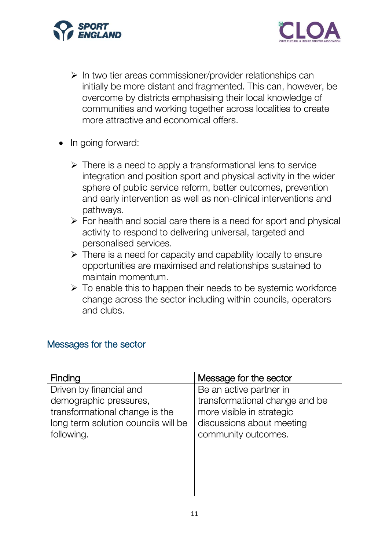



- $\triangleright$  In two tier areas commissioner/provider relationships can initially be more distant and fragmented. This can, however, be overcome by districts emphasising their local knowledge of communities and working together across localities to create more attractive and economical offers.
- In going forward:
	- $\triangleright$  There is a need to apply a transformational lens to service integration and position sport and physical activity in the wider sphere of public service reform, better outcomes, prevention and early intervention as well as non-clinical interventions and pathways.
	- $\triangleright$  For health and social care there is a need for sport and physical activity to respond to delivering universal, targeted and personalised services.
	- $\triangleright$  There is a need for capacity and capability locally to ensure opportunities are maximised and relationships sustained to maintain momentum.
	- $\triangleright$  To enable this to happen their needs to be systemic workforce change across the sector including within councils, operators and clubs.

## Messages for the sector

| Finding                             | Message for the sector         |
|-------------------------------------|--------------------------------|
| Driven by financial and             | Be an active partner in        |
| demographic pressures,              | transformational change and be |
| transformational change is the      | more visible in strategic      |
| long term solution councils will be | discussions about meeting      |
| following.                          | community outcomes.            |
|                                     |                                |
|                                     |                                |
|                                     |                                |
|                                     |                                |
|                                     |                                |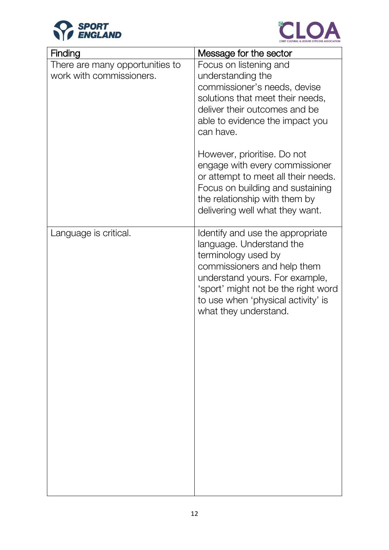



| Finding                                                     | Message for the sector                                                                                                                                                                                                                                     |
|-------------------------------------------------------------|------------------------------------------------------------------------------------------------------------------------------------------------------------------------------------------------------------------------------------------------------------|
| There are many opportunities to<br>work with commissioners. | Focus on listening and<br>understanding the<br>commissioner's needs, devise<br>solutions that meet their needs,<br>deliver their outcomes and be<br>able to evidence the impact you<br>can have.                                                           |
|                                                             | However, prioritise. Do not<br>engage with every commissioner<br>or attempt to meet all their needs.<br>Focus on building and sustaining<br>the relationship with them by<br>delivering well what they want.                                               |
| Language is critical.                                       | Identify and use the appropriate<br>language. Understand the<br>terminology used by<br>commissioners and help them<br>understand yours. For example,<br>'sport' might not be the right word<br>to use when 'physical activity' is<br>what they understand. |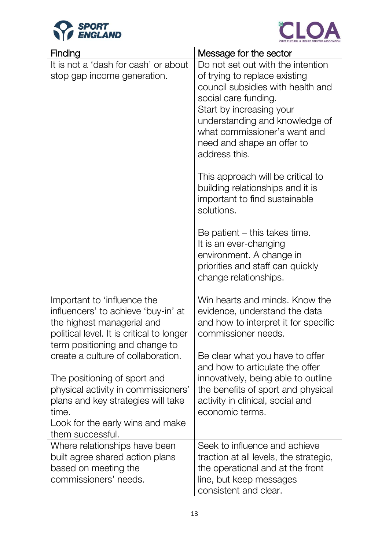



| Finding                                                                                                                                                                                                          | Message for the sector                                                                                                                                                                                                                                                                                            |
|------------------------------------------------------------------------------------------------------------------------------------------------------------------------------------------------------------------|-------------------------------------------------------------------------------------------------------------------------------------------------------------------------------------------------------------------------------------------------------------------------------------------------------------------|
| It is not a 'dash for cash' or about<br>stop gap income generation.                                                                                                                                              | Do not set out with the intention<br>of trying to replace existing<br>council subsidies with health and<br>social care funding.<br>Start by increasing your<br>understanding and knowledge of<br>what commissioner's want and<br>need and shape an offer to<br>address this.<br>This approach will be critical to |
|                                                                                                                                                                                                                  | building relationships and it is<br>important to find sustainable<br>solutions.                                                                                                                                                                                                                                   |
|                                                                                                                                                                                                                  | Be patient $-$ this takes time.<br>It is an ever-changing<br>environment. A change in<br>priorities and staff can quickly<br>change relationships.                                                                                                                                                                |
| Important to 'influence the<br>influencers' to achieve 'buy-in' at<br>the highest managerial and<br>political level. It is critical to longer<br>term positioning and change to                                  | Win hearts and minds. Know the<br>evidence, understand the data<br>and how to interpret it for specific<br>commissioner needs.                                                                                                                                                                                    |
| create a culture of collaboration.<br>The positioning of sport and<br>physical activity in commissioners'<br>plans and key strategies will take<br>time.<br>Look for the early wins and make<br>them successful. | Be clear what you have to offer<br>and how to articulate the offer<br>innovatively, being able to outline<br>the benefits of sport and physical<br>activity in clinical, social and<br>economic terms.                                                                                                            |
| Where relationships have been<br>built agree shared action plans<br>based on meeting the<br>commissioners' needs.                                                                                                | Seek to influence and achieve<br>traction at all levels, the strategic,<br>the operational and at the front<br>line, but keep messages<br>consistent and clear.                                                                                                                                                   |